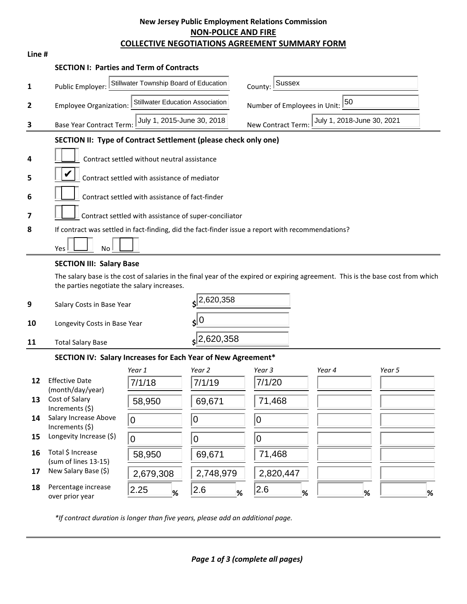## **New Jersey Public Employment Relations Commission NON-POLICE AND FIRE COLLECTIVE NEGOTIATIONS AGREEMENT SUMMARY FORM**

| Line # |                                                                                                                                                                                 |                                                                          |                  |                                    |                            |        |   |
|--------|---------------------------------------------------------------------------------------------------------------------------------------------------------------------------------|--------------------------------------------------------------------------|------------------|------------------------------------|----------------------------|--------|---|
|        | <b>SECTION I: Parties and Term of Contracts</b>                                                                                                                                 |                                                                          |                  |                                    |                            |        |   |
| 1      | Public Employer:                                                                                                                                                                | Stillwater Township Board of Education                                   |                  | <b>Sussex</b><br>County:           |                            |        |   |
| 2      |                                                                                                                                                                                 | <b>Stillwater Education Association</b><br><b>Employee Organization:</b> |                  | 50<br>Number of Employees in Unit: |                            |        |   |
| 3      | <b>Base Year Contract Term:</b>                                                                                                                                                 | July 1, 2015-June 30, 2018                                               |                  | New Contract Term:                 | July 1, 2018-June 30, 2021 |        |   |
|        | SECTION II: Type of Contract Settlement (please check only one)                                                                                                                 |                                                                          |                  |                                    |                            |        |   |
| 4      |                                                                                                                                                                                 |                                                                          |                  |                                    |                            |        |   |
|        | V                                                                                                                                                                               | Contract settled without neutral assistance                              |                  |                                    |                            |        |   |
| 5      |                                                                                                                                                                                 | Contract settled with assistance of mediator                             |                  |                                    |                            |        |   |
| 6      | Contract settled with assistance of fact-finder                                                                                                                                 |                                                                          |                  |                                    |                            |        |   |
| 7      |                                                                                                                                                                                 | Contract settled with assistance of super-conciliator                    |                  |                                    |                            |        |   |
| 8      | If contract was settled in fact-finding, did the fact-finder issue a report with recommendations?                                                                               |                                                                          |                  |                                    |                            |        |   |
|        | Yes<br>No                                                                                                                                                                       |                                                                          |                  |                                    |                            |        |   |
|        | <b>SECTION III: Salary Base</b>                                                                                                                                                 |                                                                          |                  |                                    |                            |        |   |
|        | The salary base is the cost of salaries in the final year of the expired or expiring agreement. This is the base cost from which<br>the parties negotiate the salary increases. |                                                                          |                  |                                    |                            |        |   |
| 9      | Salary Costs in Base Year                                                                                                                                                       |                                                                          | 2,620,358        |                                    |                            |        |   |
| 10     | $\sin 0$<br>Longevity Costs in Base Year                                                                                                                                        |                                                                          |                  |                                    |                            |        |   |
| 11     | <b>Total Salary Base</b>                                                                                                                                                        |                                                                          | $s$ 2,620,358    |                                    |                            |        |   |
|        | SECTION IV: Salary Increases for Each Year of New Agreement*                                                                                                                    |                                                                          |                  |                                    |                            |        |   |
|        |                                                                                                                                                                                 | Year 1                                                                   | Year 2           | Year 3                             | Year 4                     | Year 5 |   |
| 12     | <b>Effective Date</b><br>(month/day/year)                                                                                                                                       | 7/1/18                                                                   | 7/1/19           | 7/1/20                             |                            |        |   |
| 13     | Cost of Salary<br>Increments (\$)                                                                                                                                               | 58,950                                                                   | 69,671           | 71,468                             |                            |        |   |
| 14     | Salary Increase Above<br>Increments (\$)                                                                                                                                        | 0                                                                        | $\boldsymbol{0}$ | $\pmb{0}$                          |                            |        |   |
| 15     | Longevity Increase (\$)                                                                                                                                                         | $\pmb{0}$                                                                | $\mathbf 0$      | $\mathbf 0$                        |                            |        |   |
| 16     | Total \$ Increase<br>(sum of lines 13-15)                                                                                                                                       | 58,950                                                                   | 69,671           | 71,468                             |                            |        |   |
| 17     | New Salary Base (\$)                                                                                                                                                            | 2,679,308                                                                | 2,748,979        | 2,820,447                          |                            |        |   |
| 18     | Percentage increase                                                                                                                                                             | 2.25<br>$\frac{9}{6}$                                                    | 2.6<br>%         | 2.6<br>%                           |                            | %      | ℀ |

*\*If contract duration is longer than five years, please add an additional page.*

over prior year **% % % % %**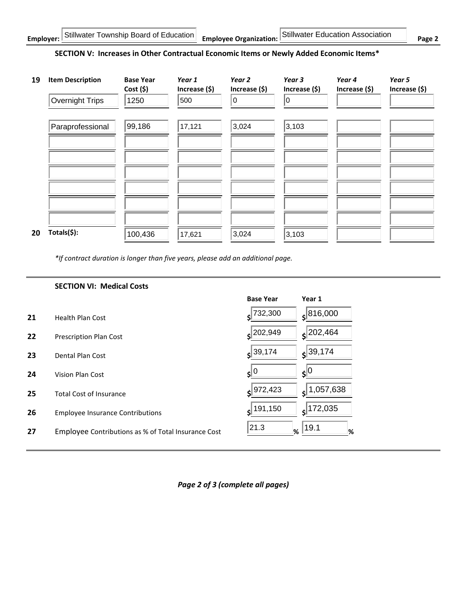## **SECTION V: Increases in Other Contractual Economic Items or Newly Added Economic Items\***

| 19 | <b>Item Description</b><br>Overnight Trips | <b>Base Year</b><br>Cost(5)<br>1250 | Year 1<br>Increase (\$)<br>500 | Year <sub>2</sub><br>Increase (\$)<br>0 | Year 3<br>Increase (\$)<br>10 | Year 4<br>Increase (\$) | Year 5<br>Increase (\$) |
|----|--------------------------------------------|-------------------------------------|--------------------------------|-----------------------------------------|-------------------------------|-------------------------|-------------------------|
|    | Paraprofessional                           | 99,186                              | 17,121                         | 3,024                                   | 3,103                         |                         |                         |
|    |                                            |                                     |                                |                                         |                               |                         |                         |
|    |                                            |                                     |                                |                                         |                               |                         |                         |
| 20 | Totals(\$):                                | 100,436                             | 17,621                         | 3,024                                   | 3,103                         |                         |                         |

*\*If contract duration is longer than five years, please add an additional page.*

|    | <b>SECTION VI: Medical Costs</b>                    |                        |                  |
|----|-----------------------------------------------------|------------------------|------------------|
|    |                                                     | <b>Base Year</b>       | Year 1           |
| 21 | <b>Health Plan Cost</b>                             | 732,300<br>¢           | 816,000          |
| 22 | <b>Prescription Plan Cost</b>                       | 202,949<br>¢           | $\zeta$  202,464 |
| 23 | Dental Plan Cost                                    | 39,174<br>$\mathsf{s}$ | $s$ 39,174       |
| 24 | Vision Plan Cost                                    | 10<br>≮l               | $\zeta^{0}$      |
| 25 | <b>Total Cost of Insurance</b>                      | 972,423                | 1,057,638<br>٢ļ  |
| 26 | <b>Employee Insurance Contributions</b>             | $s$ <sup>191,150</sup> | 172,035<br>۹l    |
| 27 | Employee Contributions as % of Total Insurance Cost | 21.3<br>%              | 19.1<br>%        |

*Page 2 of 3 (complete all pages)*